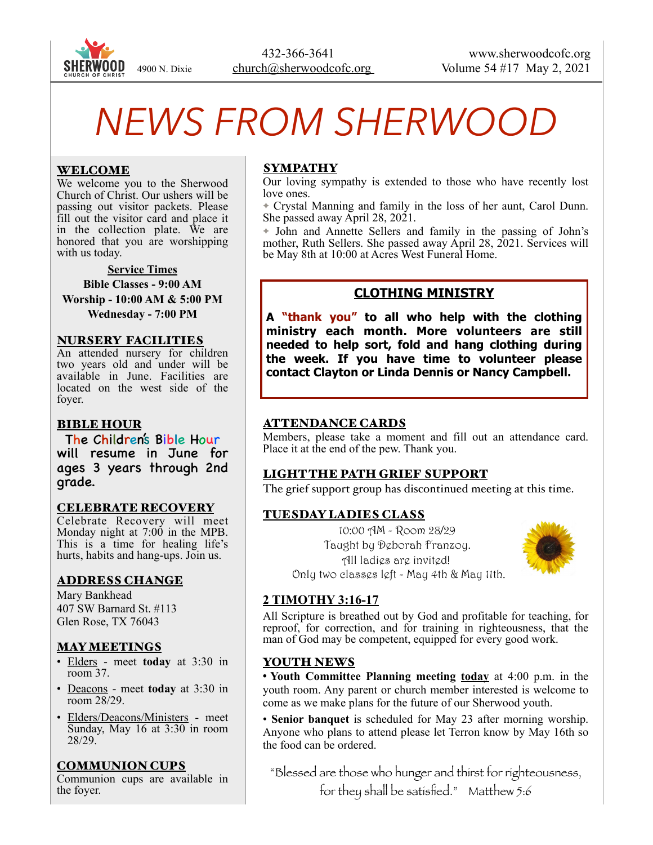

# *NEWS FROM SHERWOOD*

#### WELCOME

We welcome you to the Sherwood Church of Christ. Our ushers will be passing out visitor packets. Please fill out the visitor card and place it in the collection plate. We are honored that you are worshipping with us today.

#### **Service Times**

**Bible Classes - 9:00 AM Worship - 10:00 AM & 5:00 PM Wednesday - 7:00 PM** 

#### NURSERY FACILITIES

An attended nursery for children two years old and under will be available in June. Facilities are located on the west side of the foyer.

#### BIBLE HOUR

The Children's Bible Hour will resume in June for ages 3 years through 2nd grade.

#### CELEBRATE RECOVERY

Celebrate Recovery will meet Monday night at 7:00 in the MPB. This is a time for healing life's hurts, habits and hang-ups. Join us.

#### ADDRESS CHANGE

Mary Bankhead 407 SW Barnard St. #113 Glen Rose, TX 76043

#### MAY MEETINGS

- Elders meet **today** at 3:30 in room 37.
- Deacons meet **today** at 3:30 in room 28/29.
- Elders/Deacons/Ministers meet Sunday, May 16 at 3:30 in room 28/29.

#### COMMUNION CUPS

Communion cups are available in the foyer.

#### SYMPATHY

Our loving sympathy is extended to those who have recently lost love ones.

✦ Crystal Manning and family in the loss of her aunt, Carol Dunn. She passed away April 28, 2021.

✦ John and Annette Sellers and family in the passing of John's mother, Ruth Sellers. She passed away April 28, 2021. Services will be May 8th at 10:00 at Acres West Funeral Home.

# **CLOTHING MINISTRY**

**A "thank you" to all who help with the clothing ministry each month. More volunteers are still needed to help sort, fold and hang clothing during the week. If you have time to volunteer please contact Clayton or Linda Dennis or Nancy Campbell.** 

#### ATTENDANCE CARDS

Members, please take a moment and fill out an attendance card. Place it at the end of the pew. Thank you.

#### LIGHT THE PATH GRIEF SUPPORT

The grief support group has discontinued meeting at this time.

#### TUESDAY LADIES CLASS

 10:00 AM - Room 28/29 Taught by Deborah Franzoy. All ladies are invited! Only two classes left - May 4th & May 11th.



#### **2 TIMOTHY 3:16-17**

All Scripture is breathed out by God and profitable for teaching, for reproof, for correction, and for training in righteousness, that the man of God may be competent, equipped for every good work.

#### YOUTH NEWS

• **Youth Committee Planning meeting today** at 4:00 p.m. in the youth room. Any parent or church member interested is welcome to come as we make plans for the future of our Sherwood youth.

• **Senior banquet** is scheduled for May 23 after morning worship. Anyone who plans to attend please let Terron know by May 16th so the food can be ordered.

"Blessed are those who hunger and thirst for righteousness, for they shall be satisfied." Matthew 5:6